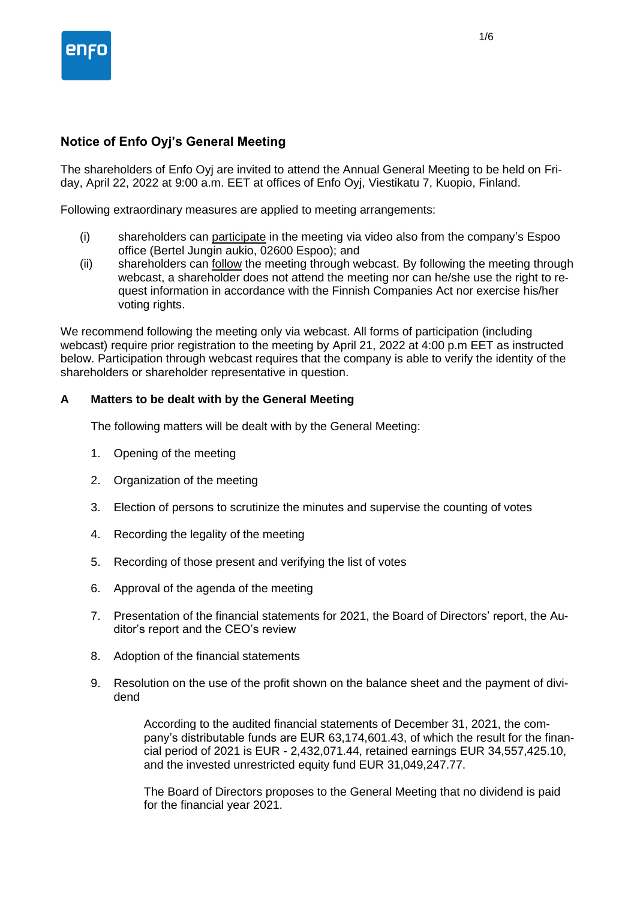

# **Notice of Enfo Oyj's General Meeting**

The shareholders of Enfo Oyj are invited to attend the Annual General Meeting to be held on Friday, April 22, 2022 at 9:00 a.m. EET at offices of Enfo Oyj, Viestikatu 7, Kuopio, Finland.

Following extraordinary measures are applied to meeting arrangements:

- (i) shareholders can participate in the meeting via video also from the company's Espoo office (Bertel Jungin aukio, 02600 Espoo); and
- (ii) shareholders can follow the meeting through webcast. By following the meeting through webcast, a shareholder does not attend the meeting nor can he/she use the right to request information in accordance with the Finnish Companies Act nor exercise his/her voting rights.

We recommend following the meeting only via webcast. All forms of participation (including webcast) require prior registration to the meeting by April 21, 2022 at 4:00 p.m EET as instructed below. Participation through webcast requires that the company is able to verify the identity of the shareholders or shareholder representative in question.

### **A Matters to be dealt with by the General Meeting**

The following matters will be dealt with by the General Meeting:

- 1. Opening of the meeting
- 2. Organization of the meeting
- 3. Election of persons to scrutinize the minutes and supervise the counting of votes
- 4. Recording the legality of the meeting
- 5. Recording of those present and verifying the list of votes
- 6. Approval of the agenda of the meeting
- 7. Presentation of the financial statements for 2021, the Board of Directors' report, the Auditor's report and the CEO's review
- 8. Adoption of the financial statements
- 9. Resolution on the use of the profit shown on the balance sheet and the payment of dividend

According to the audited financial statements of December 31, 2021, the company's distributable funds are EUR 63,174,601.43, of which the result for the financial period of 2021 is EUR - 2,432,071.44, retained earnings EUR 34,557,425.10, and the invested unrestricted equity fund EUR 31,049,247.77.

The Board of Directors proposes to the General Meeting that no dividend is paid for the financial year 2021.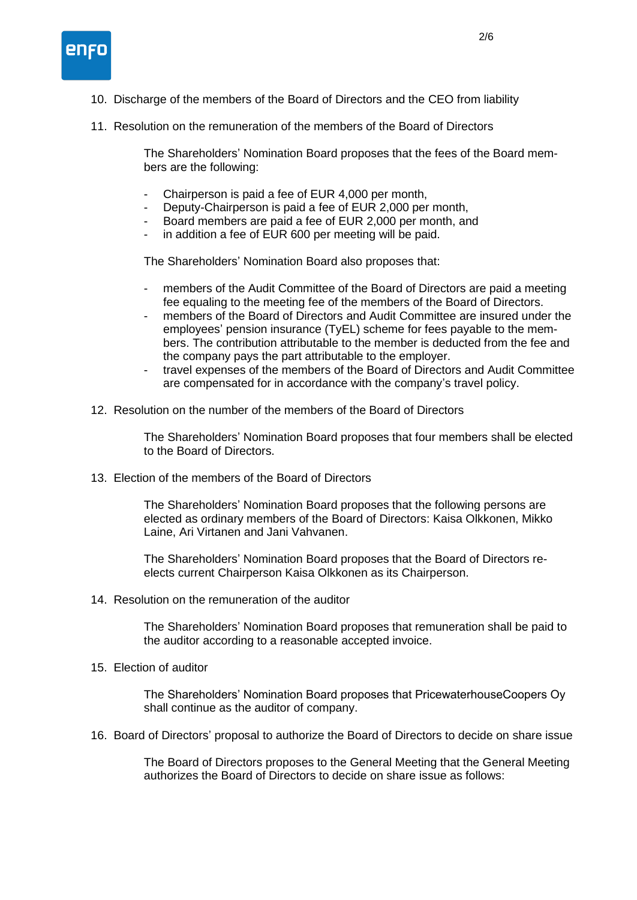

- 10. Discharge of the members of the Board of Directors and the CEO from liability
- 11. Resolution on the remuneration of the members of the Board of Directors

The Shareholders' Nomination Board proposes that the fees of the Board members are the following:

- Chairperson is paid a fee of EUR 4,000 per month,
- Deputy-Chairperson is paid a fee of EUR 2,000 per month,
- Board members are paid a fee of EUR 2,000 per month, and
- in addition a fee of EUR 600 per meeting will be paid.

The Shareholders' Nomination Board also proposes that:

- members of the Audit Committee of the Board of Directors are paid a meeting fee equaling to the meeting fee of the members of the Board of Directors.
- members of the Board of Directors and Audit Committee are insured under the employees' pension insurance (TyEL) scheme for fees payable to the members. The contribution attributable to the member is deducted from the fee and the company pays the part attributable to the employer.
- travel expenses of the members of the Board of Directors and Audit Committee are compensated for in accordance with the company's travel policy.
- 12. Resolution on the number of the members of the Board of Directors

The Shareholders' Nomination Board proposes that four members shall be elected to the Board of Directors.

13. Election of the members of the Board of Directors

The Shareholders' Nomination Board proposes that the following persons are elected as ordinary members of the Board of Directors: Kaisa Olkkonen, Mikko Laine, Ari Virtanen and Jani Vahvanen.

The Shareholders' Nomination Board proposes that the Board of Directors reelects current Chairperson Kaisa Olkkonen as its Chairperson.

14. Resolution on the remuneration of the auditor

The Shareholders' Nomination Board proposes that remuneration shall be paid to the auditor according to a reasonable accepted invoice.

15. Election of auditor

The Shareholders' Nomination Board proposes that PricewaterhouseCoopers Oy shall continue as the auditor of company.

16. Board of Directors' proposal to authorize the Board of Directors to decide on share issue

The Board of Directors proposes to the General Meeting that the General Meeting authorizes the Board of Directors to decide on share issue as follows: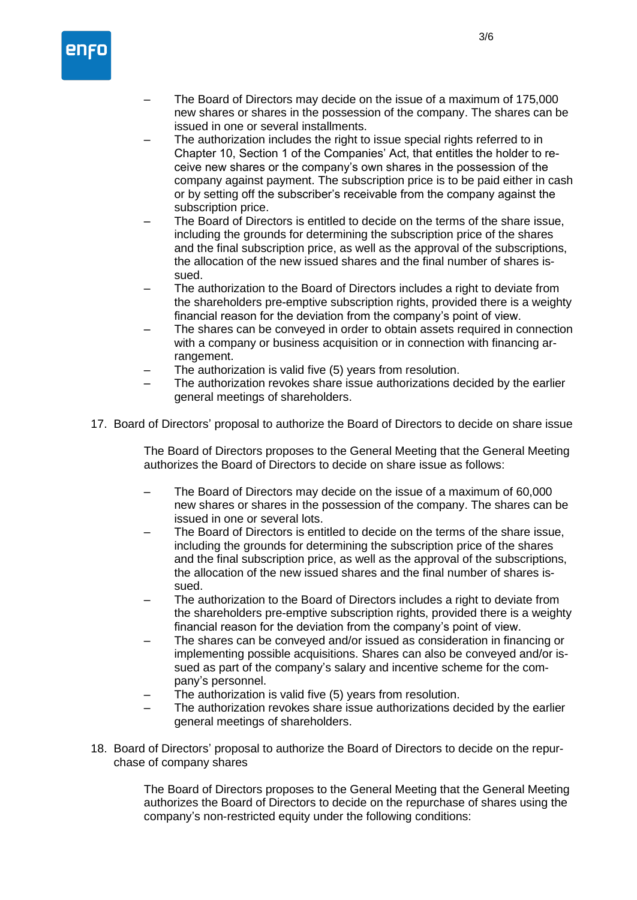

- The Board of Directors may decide on the issue of a maximum of 175,000 new shares or shares in the possession of the company. The shares can be issued in one or several installments.
- The authorization includes the right to issue special rights referred to in Chapter 10, Section 1 of the Companies' Act, that entitles the holder to receive new shares or the company's own shares in the possession of the company against payment. The subscription price is to be paid either in cash or by setting off the subscriber's receivable from the company against the subscription price.
- The Board of Directors is entitled to decide on the terms of the share issue, including the grounds for determining the subscription price of the shares and the final subscription price, as well as the approval of the subscriptions, the allocation of the new issued shares and the final number of shares issued.
- The authorization to the Board of Directors includes a right to deviate from the shareholders pre-emptive subscription rights, provided there is a weighty financial reason for the deviation from the company's point of view.
- The shares can be conveyed in order to obtain assets required in connection with a company or business acquisition or in connection with financing arrangement.
- The authorization is valid five (5) years from resolution.
- The authorization revokes share issue authorizations decided by the earlier general meetings of shareholders.
- 17. Board of Directors' proposal to authorize the Board of Directors to decide on share issue

The Board of Directors proposes to the General Meeting that the General Meeting authorizes the Board of Directors to decide on share issue as follows:

- The Board of Directors may decide on the issue of a maximum of 60,000 new shares or shares in the possession of the company. The shares can be issued in one or several lots.
- The Board of Directors is entitled to decide on the terms of the share issue, including the grounds for determining the subscription price of the shares and the final subscription price, as well as the approval of the subscriptions, the allocation of the new issued shares and the final number of shares issued.
- The authorization to the Board of Directors includes a right to deviate from the shareholders pre-emptive subscription rights, provided there is a weighty financial reason for the deviation from the company's point of view.
- The shares can be conveyed and/or issued as consideration in financing or implementing possible acquisitions. Shares can also be conveyed and/or issued as part of the company's salary and incentive scheme for the company's personnel.
- The authorization is valid five (5) years from resolution.
- The authorization revokes share issue authorizations decided by the earlier general meetings of shareholders.
- 18. Board of Directors' proposal to authorize the Board of Directors to decide on the repurchase of company shares

The Board of Directors proposes to the General Meeting that the General Meeting authorizes the Board of Directors to decide on the repurchase of shares using the company's non-restricted equity under the following conditions: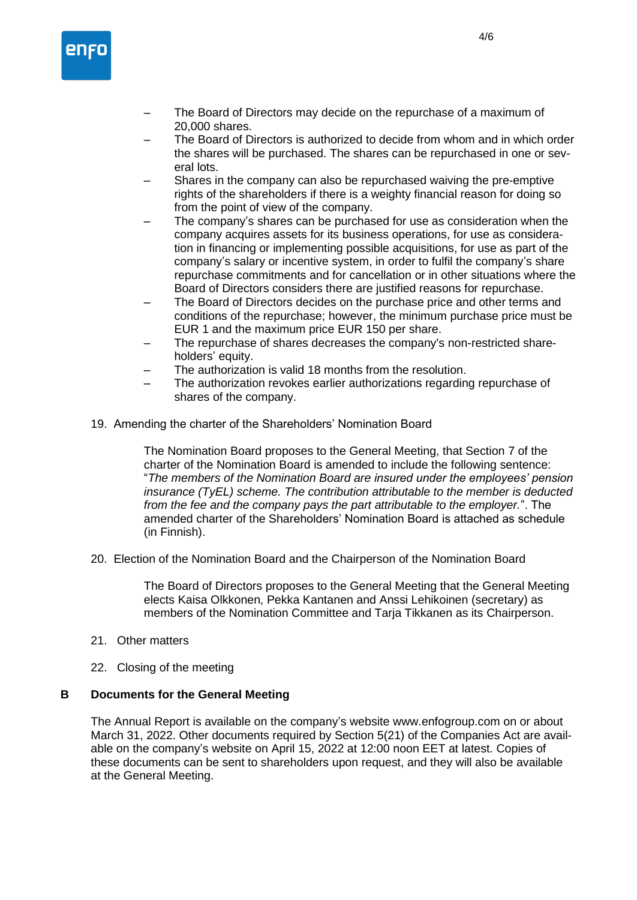

- The Board of Directors may decide on the repurchase of a maximum of 20,000 shares.
- The Board of Directors is authorized to decide from whom and in which order the shares will be purchased. The shares can be repurchased in one or several lots.
- Shares in the company can also be repurchased waiving the pre-emptive rights of the shareholders if there is a weighty financial reason for doing so from the point of view of the company.
- The company's shares can be purchased for use as consideration when the company acquires assets for its business operations, for use as consideration in financing or implementing possible acquisitions, for use as part of the company's salary or incentive system, in order to fulfil the company's share repurchase commitments and for cancellation or in other situations where the Board of Directors considers there are justified reasons for repurchase.
- The Board of Directors decides on the purchase price and other terms and conditions of the repurchase; however, the minimum purchase price must be EUR 1 and the maximum price EUR 150 per share.
- The repurchase of shares decreases the company's non-restricted shareholders' equity.
- The authorization is valid 18 months from the resolution.
- The authorization revokes earlier authorizations regarding repurchase of shares of the company.
- 19. Amending the charter of the Shareholders' Nomination Board

The Nomination Board proposes to the General Meeting, that Section 7 of the charter of the Nomination Board is amended to include the following sentence: "*The members of the Nomination Board are insured under the employees' pension insurance (TyEL) scheme. The contribution attributable to the member is deducted from the fee and the company pays the part attributable to the employer.*". The amended charter of the Shareholders' Nomination Board is attached as schedule (in Finnish).

20. Election of the Nomination Board and the Chairperson of the Nomination Board

The Board of Directors proposes to the General Meeting that the General Meeting elects Kaisa Olkkonen, Pekka Kantanen and Anssi Lehikoinen (secretary) as members of the Nomination Committee and Tarja Tikkanen as its Chairperson.

- 21. Other matters
- 22. Closing of the meeting

#### **B Documents for the General Meeting**

The Annual Report is available on the company's website www.enfogroup.com on or about March 31, 2022. Other documents required by Section 5(21) of the Companies Act are available on the company's website on April 15, 2022 at 12:00 noon EET at latest. Copies of these documents can be sent to shareholders upon request, and they will also be available at the General Meeting.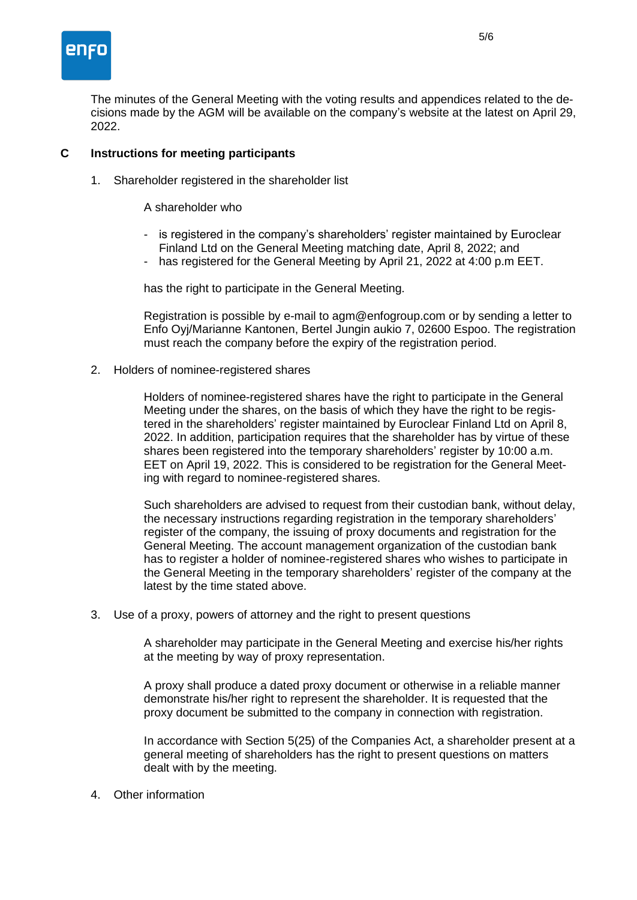

The minutes of the General Meeting with the voting results and appendices related to the decisions made by the AGM will be available on the company's website at the latest on April 29, 2022.

## **C Instructions for meeting participants**

1. Shareholder registered in the shareholder list

#### A shareholder who

- is registered in the company's shareholders' register maintained by Euroclear Finland Ltd on the General Meeting matching date, April 8, 2022; and
- has registered for the General Meeting by April 21, 2022 at 4:00 p.m EET.

has the right to participate in the General Meeting.

Registration is possible by e-mail to agm@enfogroup.com or by sending a letter to Enfo Oyj/Marianne Kantonen, Bertel Jungin aukio 7, 02600 Espoo. The registration must reach the company before the expiry of the registration period.

2. Holders of nominee-registered shares

Holders of nominee-registered shares have the right to participate in the General Meeting under the shares, on the basis of which they have the right to be registered in the shareholders' register maintained by Euroclear Finland Ltd on April 8, 2022. In addition, participation requires that the shareholder has by virtue of these shares been registered into the temporary shareholders' register by 10:00 a.m. EET on April 19, 2022. This is considered to be registration for the General Meeting with regard to nominee-registered shares.

Such shareholders are advised to request from their custodian bank, without delay, the necessary instructions regarding registration in the temporary shareholders' register of the company, the issuing of proxy documents and registration for the General Meeting. The account management organization of the custodian bank has to register a holder of nominee-registered shares who wishes to participate in the General Meeting in the temporary shareholders' register of the company at the latest by the time stated above.

3. Use of a proxy, powers of attorney and the right to present questions

A shareholder may participate in the General Meeting and exercise his/her rights at the meeting by way of proxy representation.

A proxy shall produce a dated proxy document or otherwise in a reliable manner demonstrate his/her right to represent the shareholder. It is requested that the proxy document be submitted to the company in connection with registration.

In accordance with Section 5(25) of the Companies Act, a shareholder present at a general meeting of shareholders has the right to present questions on matters dealt with by the meeting.

4. Other information